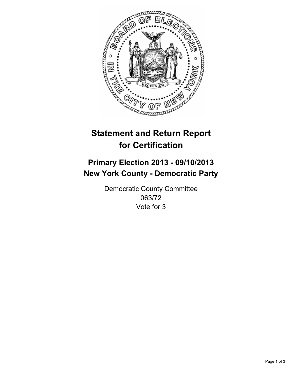

# **Statement and Return Report for Certification**

# **Primary Election 2013 - 09/10/2013 New York County - Democratic Party**

Democratic County Committee 063/72 Vote for 3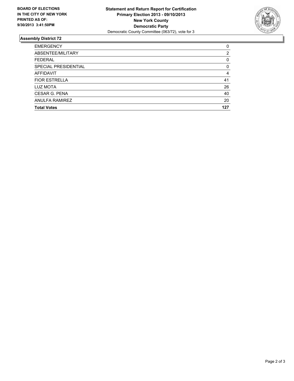

## **Assembly District 72**

| 0        |
|----------|
| 2        |
| 0        |
| $\Omega$ |
| 4        |
| 41       |
| 26       |
| 40       |
| 20       |
| 127      |
|          |